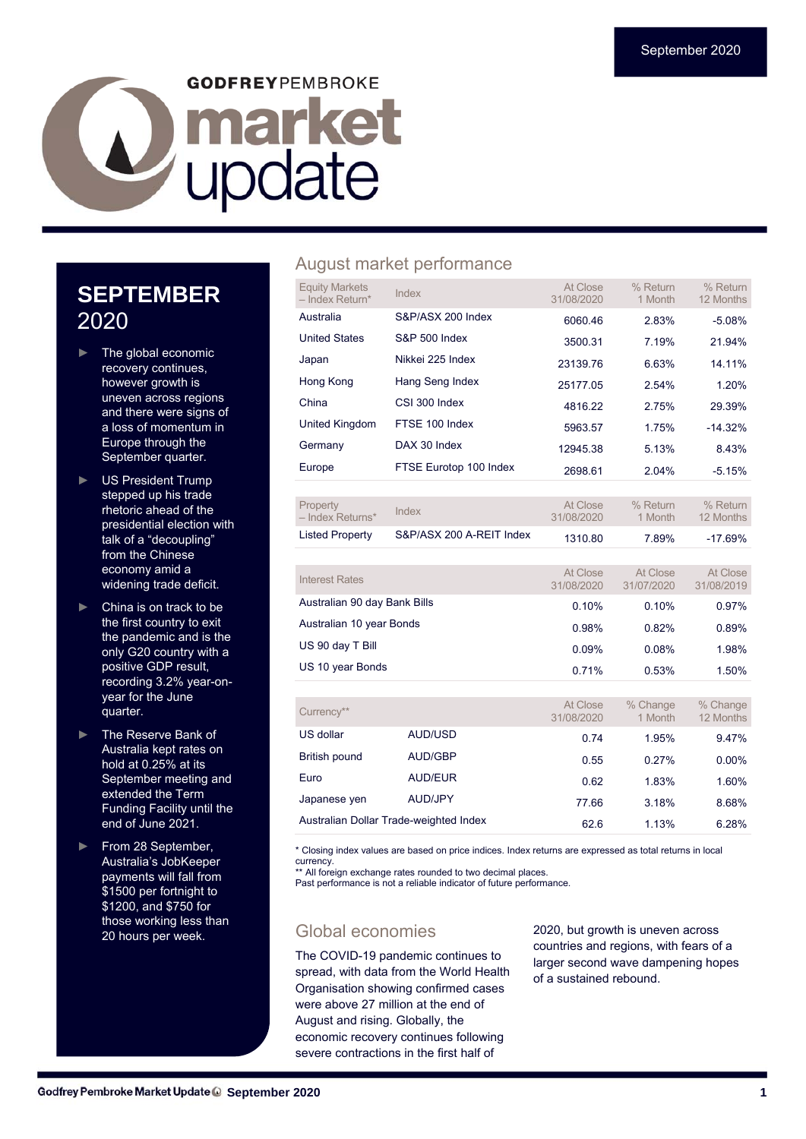# **GODFREYPEMBROKE** Lupdate

## **SEPTEMBER**  2020

- The global economic recovery continues, however growth is uneven across regions and there were signs of a loss of momentum in Europe through the September quarter.
- ► US President Trump stepped up his trade rhetoric ahead of the presidential election with talk of a "decoupling" from the Chinese economy amid a widening trade deficit.
- China is on track to be the first country to exit the pandemic and is the only G20 country with a positive GDP result, recording 3.2% year-onyear for the June quarter.
- ► The Reserve Bank of Australia kept rates on hold at 0.25% at its September meeting and extended the Term Funding Facility until the end of June 2021.
- ► From 28 September, Australia's JobKeeper payments will fall from \$1500 per fortnight to \$1200, and \$750 for those working less than 20 hours per week.

#### August market performance

| <b>Equity Markets</b><br>$-$ Index Return* | Index                    | At Close<br>31/08/2020 | % Return<br>1 Month | % Return<br>12 Months |
|--------------------------------------------|--------------------------|------------------------|---------------------|-----------------------|
| Australia                                  | S&P/ASX 200 Index        | 6060.46                | 2.83%               | $-5.08%$              |
| <b>United States</b>                       | <b>S&amp;P 500 Index</b> | 3500.31                | 7.19%               | 21.94%                |
| Japan                                      | Nikkei 225 Index         | 23139.76               | 6.63%               | 14.11%                |
| Hong Kong                                  | Hang Seng Index          | 25177.05               | 2.54%               | 1.20%                 |
| China                                      | CSI 300 Index            | 4816.22                | 2.75%               | 29.39%                |
| United Kingdom                             | FTSE 100 Index           | 5963.57                | 1.75%               | $-14.32%$             |
| Germany                                    | DAX 30 Index             | 12945.38               | 5.13%               | 8.43%                 |
| Europe                                     | FTSE Eurotop 100 Index   | 2698.61                | 2.04%               | $-5.15%$              |
|                                            |                          |                        |                     |                       |
| Property<br>- Index Returns*               | Index                    | At Close<br>31/08/2020 | % Return<br>1 Month | % Return<br>12 Months |
| <b>Listed Property</b>                     | S&P/ASX 200 A-REIT Index | 1310.80                | 7.89%               | $-17.69%$             |

| Interest Rates               | At Close<br>31/08/2020 | At Close<br>31/07/2020 | At Close<br>31/08/2019 |
|------------------------------|------------------------|------------------------|------------------------|
| Australian 90 day Bank Bills | 0.10%                  | 0.10%                  | 0.97%                  |
| Australian 10 year Bonds     | 0.98%                  | 0.82%                  | 0.89%                  |
| US 90 day T Bill             | 0.09%                  | 0.08%                  | 1.98%                  |
| US 10 year Bonds             | 0.71%                  | 0.53%                  | 1.50%                  |
|                              |                        |                        |                        |

| Currency**    |                                        | At Close<br>31/08/2020 | % Change<br>1 Month | % Change<br>12 Months |
|---------------|----------------------------------------|------------------------|---------------------|-----------------------|
| US dollar     | AUD/USD                                | 0.74                   | 1.95%               | 9.47%                 |
| British pound | AUD/GBP                                | 0.55                   | 0.27%               | $0.00\%$              |
| Euro          | AUD/EUR                                | 0.62                   | 1.83%               | 1.60%                 |
| Japanese ven  | AUD/JPY                                | 77.66                  | 3.18%               | 8.68%                 |
|               | Australian Dollar Trade-weighted Index | 62.6                   | 1.13%               | 6.28%                 |

\* Closing index values are based on price indices. Index returns are expressed as total returns in local currency.

\*\* All foreign exchange rates rounded to two decimal places.

Past performance is not a reliable indicator of future performance.

#### Global economies

The COVID-19 pandemic continues to spread, with data from the World Health Organisation showing confirmed cases were above 27 million at the end of August and rising. Globally, the economic recovery continues following severe contractions in the first half of

2020, but growth is uneven across countries and regions, with fears of a larger second wave dampening hopes of a sustained rebound.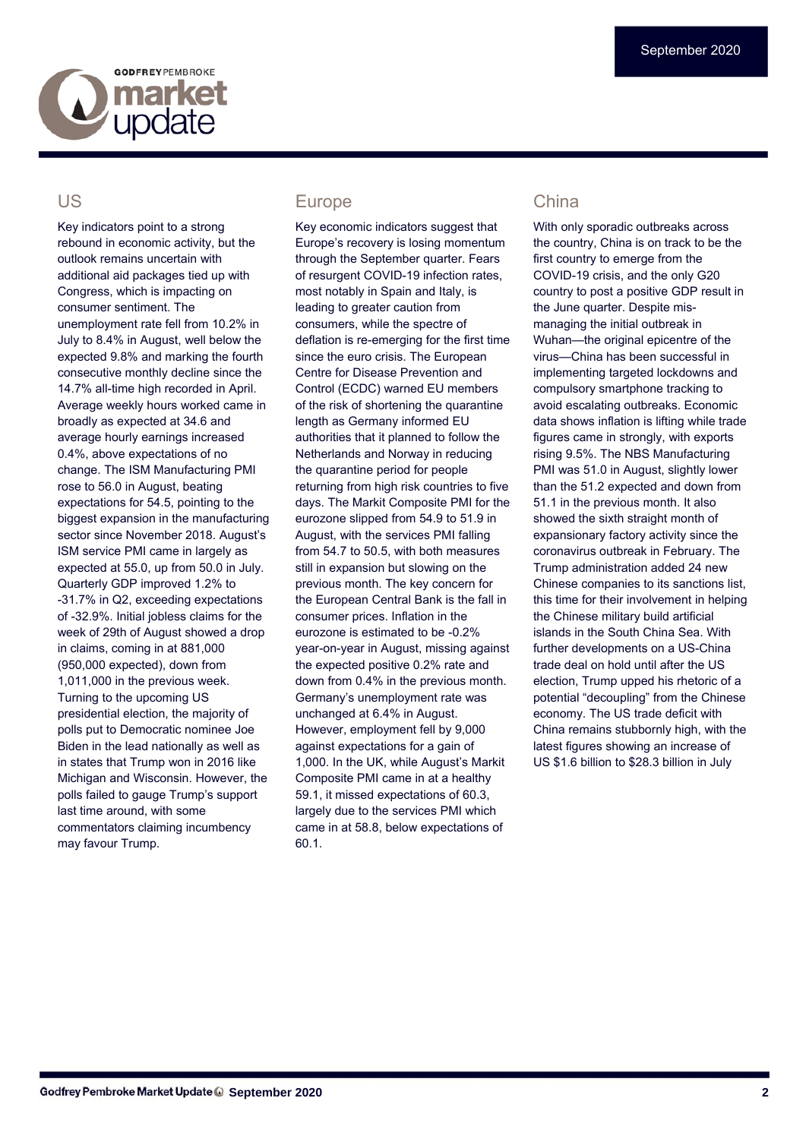

#### US

Key indicators point to a strong rebound in economic activity, but the outlook remains uncertain with additional aid packages tied up with Congress, which is impacting on consumer sentiment. The unemployment rate fell from 10.2% in July to 8.4% in August, well below the expected 9.8% and marking the fourth consecutive monthly decline since the 14.7% all-time high recorded in April. Average weekly hours worked came in broadly as expected at 34.6 and average hourly earnings increased 0.4%, above expectations of no change. The ISM Manufacturing PMI rose to 56.0 in August, beating expectations for 54.5, pointing to the biggest expansion in the manufacturing sector since November 2018. August's ISM service PMI came in largely as expected at 55.0, up from 50.0 in July. Quarterly GDP improved 1.2% to -31.7% in Q2, exceeding expectations of -32.9%. Initial jobless claims for the week of 29th of August showed a drop in claims, coming in at 881,000 (950,000 expected), down from 1,011,000 in the previous week. Turning to the upcoming US presidential election, the majority of polls put to Democratic nominee Joe Biden in the lead nationally as well as in states that Trump won in 2016 like Michigan and Wisconsin. However, the polls failed to gauge Trump's support last time around, with some commentators claiming incumbency may favour Trump.

#### Europe

Key economic indicators suggest that Europe's recovery is losing momentum through the September quarter. Fears of resurgent COVID-19 infection rates, most notably in Spain and Italy, is leading to greater caution from consumers, while the spectre of deflation is re-emerging for the first time since the euro crisis. The European Centre for Disease Prevention and Control (ECDC) warned EU members of the risk of shortening the quarantine length as Germany informed EU authorities that it planned to follow the Netherlands and Norway in reducing the quarantine period for people returning from high risk countries to five days. The Markit Composite PMI for the eurozone slipped from 54.9 to 51.9 in August, with the services PMI falling from 54.7 to 50.5, with both measures still in expansion but slowing on the previous month. The key concern for the European Central Bank is the fall in consumer prices. Inflation in the eurozone is estimated to be -0.2% year-on-year in August, missing against the expected positive 0.2% rate and down from 0.4% in the previous month. Germany's unemployment rate was unchanged at 6.4% in August. However, employment fell by 9,000 against expectations for a gain of 1,000. In the UK, while August's Markit Composite PMI came in at a healthy 59.1, it missed expectations of 60.3, largely due to the services PMI which came in at 58.8, below expectations of 60.1.

#### China

With only sporadic outbreaks across the country, China is on track to be the first country to emerge from the COVID-19 crisis, and the only G20 country to post a positive GDP result in the June quarter. Despite mismanaging the initial outbreak in Wuhan—the original epicentre of the virus—China has been successful in implementing targeted lockdowns and compulsory smartphone tracking to avoid escalating outbreaks. Economic data shows inflation is lifting while trade figures came in strongly, with exports rising 9.5%. The NBS Manufacturing PMI was 51.0 in August, slightly lower than the 51.2 expected and down from 51.1 in the previous month. It also showed the sixth straight month of expansionary factory activity since the coronavirus outbreak in February. The Trump administration added 24 new Chinese companies to its sanctions list, this time for their involvement in helping the Chinese military build artificial islands in the South China Sea. With further developments on a US-China trade deal on hold until after the US election, Trump upped his rhetoric of a potential "decoupling" from the Chinese economy. The US trade deficit with China remains stubbornly high, with the latest figures showing an increase of US \$1.6 billion to \$28.3 billion in July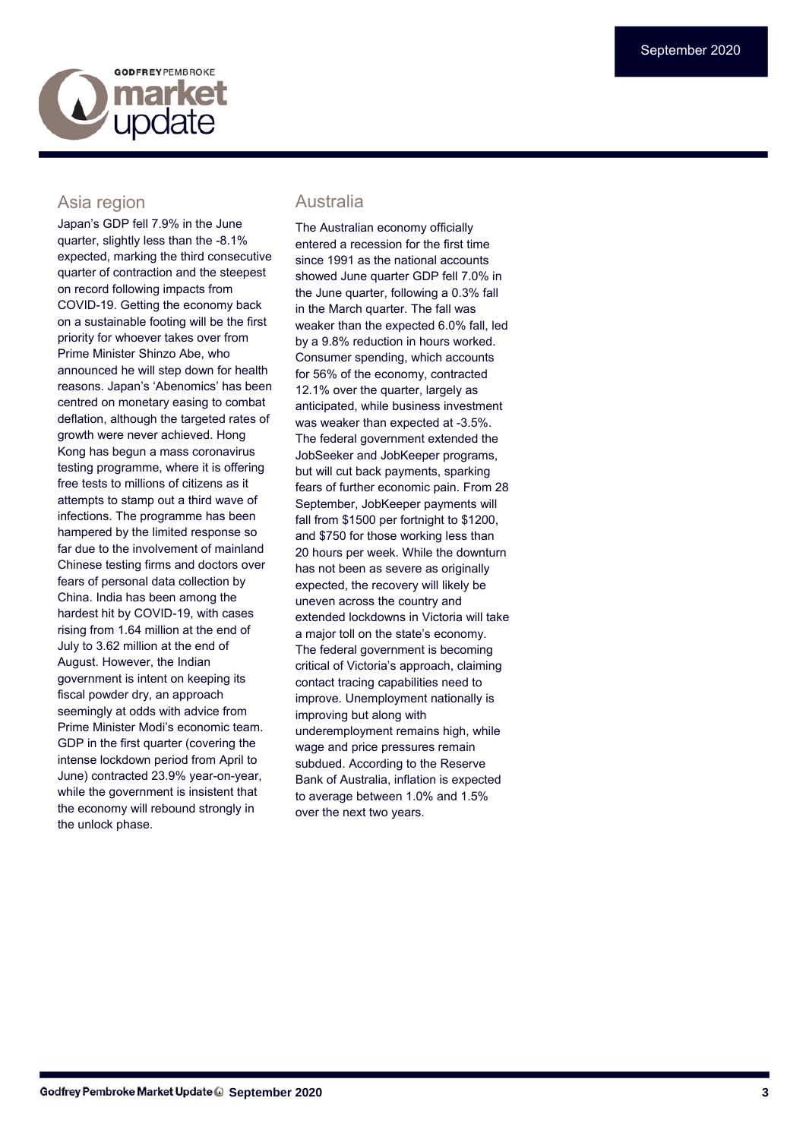# **GODEREYPEMBROKE market**

#### Asia region

Japan's GDP fell 7.9% in the June quarter, slightly less than the -8.1% expected, marking the third consecutive quarter of contraction and the steepest on record following impacts from COVID-19. Getting the economy back on a sustainable footing will be the first priority for whoever takes over from Prime Minister Shinzo Abe, who announced he will step down for health reasons. Japan's 'Abenomics' has been centred on monetary easing to combat deflation, although the targeted rates of growth were never achieved. Hong Kong has begun a mass coronavirus testing programme, where it is offering free tests to millions of citizens as it attempts to stamp out a third wave of infections. The programme has been hampered by the limited response so far due to the involvement of mainland Chinese testing firms and doctors over fears of personal data collection by China. India has been among the hardest hit by COVID-19, with cases rising from 1.64 million at the end of July to 3.62 million at the end of August. However, the Indian government is intent on keeping its fiscal powder dry, an approach seemingly at odds with advice from Prime Minister Modi's economic team. GDP in the first quarter (covering the intense lockdown period from April to June) contracted 23.9% year-on-year, while the government is insistent that the economy will rebound strongly in the unlock phase.

#### Australia

The Australian economy officially entered a recession for the first time since 1991 as the national accounts showed June quarter GDP fell 7.0% in the June quarter, following a 0.3% fall in the March quarter. The fall was weaker than the expected 6.0% fall, led by a 9.8% reduction in hours worked. Consumer spending, which accounts for 56% of the economy, contracted 12.1% over the quarter, largely as anticipated, while business investment was weaker than expected at -3.5%. The federal government extended the JobSeeker and JobKeeper programs, but will cut back payments, sparking fears of further economic pain. From 28 September, JobKeeper payments will fall from \$1500 per fortnight to \$1200, and \$750 for those working less than 20 hours per week. While the downturn has not been as severe as originally expected, the recovery will likely be uneven across the country and extended lockdowns in Victoria will take a major toll on the state's economy. The federal government is becoming critical of Victoria's approach, claiming contact tracing capabilities need to improve. Unemployment nationally is improving but along with underemployment remains high, while wage and price pressures remain subdued. According to the Reserve Bank of Australia, inflation is expected to average between 1.0% and 1.5% over the next two years.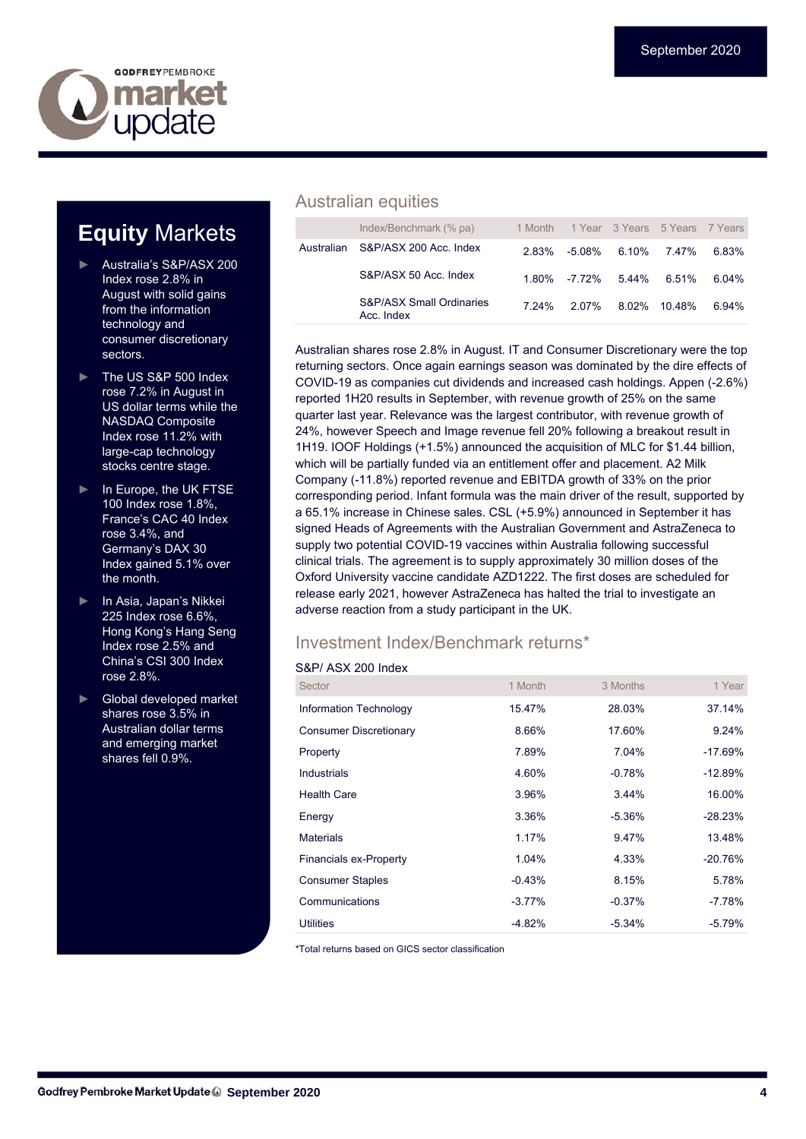

# **Equity** Markets

- ► Australia's S&P/ASX 200 Index rose 2.8% in August with solid gains from the information technology and consumer discretionary sectors.
- ► The US S&P 500 Index rose 7.2% in August in US dollar terms while the NASDAQ Composite Index rose 11.2% with large-cap technology stocks centre stage.
- In Europe, the UK FTSE 100 Index rose 1.8%, France's CAC 40 Index rose 3.4%, and Germany's DAX 30 Index gained 5.1% over the month.
- ► In Asia, Japan's Nikkei 225 Index rose 6.6%, Hong Kong's Hang Seng Index rose 2.5% and China's CSI 300 Index rose 2.8%.
- Global developed market shares rose 3.5% in Australian dollar terms and emerging market shares fell 0.9%.

#### Australian equities

|            | Index/Benchmark (% pa)                            | 1 Month |        |              | 1 Year 3 Years 5 Years 7 Years |       |
|------------|---------------------------------------------------|---------|--------|--------------|--------------------------------|-------|
| Australian | S&P/ASX 200 Acc. Index                            | 2.83%   | -5.08% | 6.10%        | 7 47%                          | 6.83% |
|            | S&P/ASX 50 Acc. Index                             | 1 80%   | -7 72% | 5.44%        | 6.51%                          | 6.04% |
|            | <b>S&amp;P/ASX Small Ordinaries</b><br>Acc. Index | 7 24%   | 2.07%  | 8.02% 10.48% |                                | 6.94% |

Australian shares rose 2.8% in August. IT and Consumer Discretionary were the top returning sectors. Once again earnings season was dominated by the dire effects of COVID-19 as companies cut dividends and increased cash holdings. Appen (-2.6%) reported 1H20 results in September, with revenue growth of 25% on the same quarter last year. Relevance was the largest contributor, with revenue growth of 24%, however Speech and Image revenue fell 20% following a breakout result in 1H19. IOOF Holdings (+1.5%) announced the acquisition of MLC for \$1.44 billion, which will be partially funded via an entitlement offer and placement. A2 Milk Company (-11.8%) reported revenue and EBITDA growth of 33% on the prior corresponding period. Infant formula was the main driver of the result, supported by a 65.1% increase in Chinese sales. CSL (+5.9%) announced in September it has signed Heads of Agreements with the Australian Government and AstraZeneca to supply two potential COVID-19 vaccines within Australia following successful clinical trials. The agreement is to supply approximately 30 million doses of the Oxford University vaccine candidate AZD1222. The first doses are scheduled for release early 2021, however AstraZeneca has halted the trial to investigate an adverse reaction from a study participant in the UK.

#### Investment Index/Benchmark returns\*

#### S&P/ ASX 200 Index

| Sector                        | 1 Month  | 3 Months  | 1 Year    |
|-------------------------------|----------|-----------|-----------|
| Information Technology        | 15.47%   | 28.03%    | 37.14%    |
| <b>Consumer Discretionary</b> | 8.66%    | 17.60%    | 9.24%     |
| Property                      | 7.89%    | 7.04%     | $-17.69%$ |
| Industrials                   | 4.60%    | $-0.78%$  | $-12.89%$ |
| <b>Health Care</b>            | 3.96%    | 3.44%     | 16.00%    |
| Energy                        | 3.36%    | $-5.36\%$ | $-28.23%$ |
| <b>Materials</b>              | 1.17%    | 9.47%     | 13.48%    |
| <b>Financials ex-Property</b> | 1.04%    | 4.33%     | $-20.76%$ |
| <b>Consumer Staples</b>       | $-0.43%$ | 8.15%     | 5.78%     |
| Communications                | $-3.77%$ | $-0.37%$  | $-7.78%$  |
| Utilities                     | $-4.82%$ | $-5.34%$  | $-5.79%$  |

\*Total returns based on GICS sector classification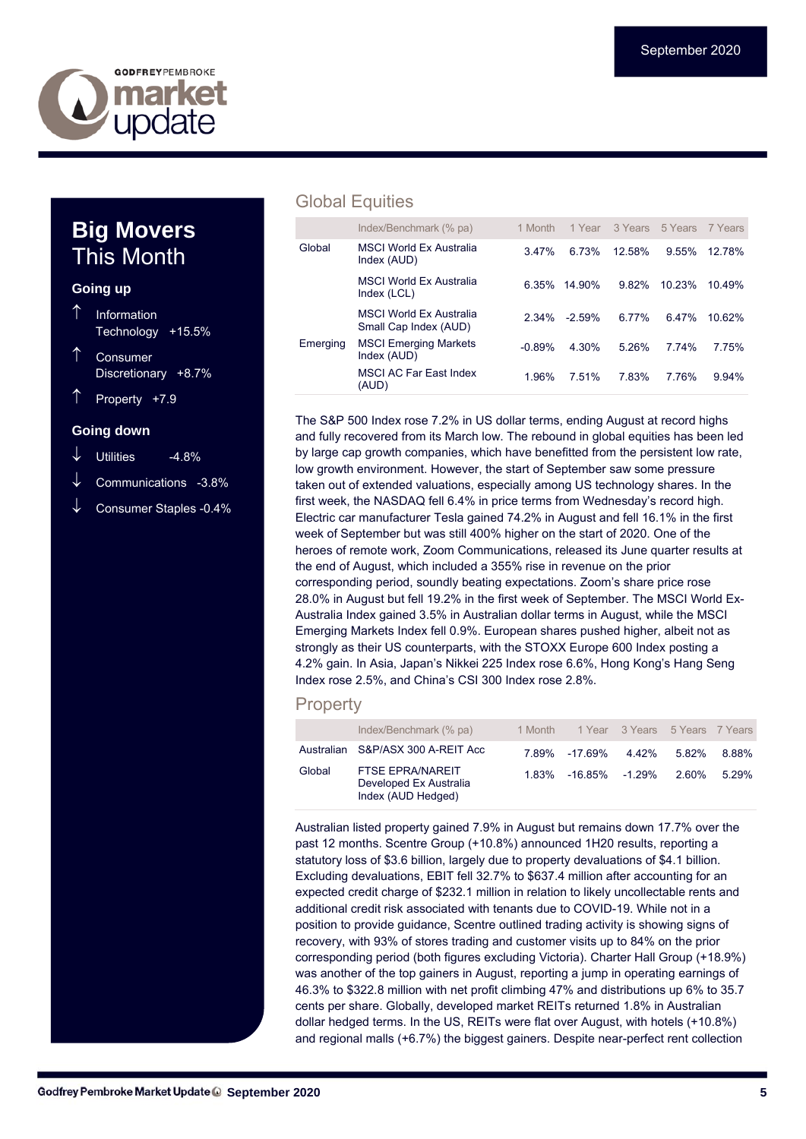

### **Big Movers**  This Month

#### **Going up**

- Information Technology +15.5%
- Consumer Discretionary +8.7%
- Property +7.9

#### **Going down**

- Utilities -4.8%
- Communications -3.8%
- Consumer Staples -0.4%

#### Global Equities

|          | Index/Benchmark (% pa)                                  | 1 Month  | 1 Year   |        | 3 Years 5 Years | 7 Years |
|----------|---------------------------------------------------------|----------|----------|--------|-----------------|---------|
| Global   | <b>MSCI World Ex Australia</b><br>Index (AUD)           | 3.47%    | 6.73%    | 12.58% | 9.55%           | 1278%   |
|          | <b>MSCI World Ex Australia</b><br>Index (LCL)           | 6.35%    | 14 90%   | 9.82%  | 10 23%          | 10.49%  |
|          | <b>MSCI World Ex Australia</b><br>Small Cap Index (AUD) | $2.34\%$ | $-2.59%$ | 6.77%  | 647%            | 10.62%  |
| Emerging | <b>MSCI Emerging Markets</b><br>Index (AUD)             | $-0.89%$ | 4.30%    | 5.26%  | 7 74%           | 7 75%   |
|          | <b>MSCI AC Far East Index</b><br>(AUD)                  | 1.96%    | 751%     | 7.83%  | 7.76%           | 9.94%   |

The S&P 500 Index rose 7.2% in US dollar terms, ending August at record highs and fully recovered from its March low. The rebound in global equities has been led by large cap growth companies, which have benefitted from the persistent low rate, low growth environment. However, the start of September saw some pressure taken out of extended valuations, especially among US technology shares. In the first week, the NASDAQ fell 6.4% in price terms from Wednesday's record high. Electric car manufacturer Tesla gained 74.2% in August and fell 16.1% in the first week of September but was still 400% higher on the start of 2020. One of the heroes of remote work, Zoom Communications, released its June quarter results at the end of August, which included a 355% rise in revenue on the prior corresponding period, soundly beating expectations. Zoom's share price rose 28.0% in August but fell 19.2% in the first week of September. The MSCI World Ex-Australia Index gained 3.5% in Australian dollar terms in August, while the MSCI Emerging Markets Index fell 0.9%. European shares pushed higher, albeit not as strongly as their US counterparts, with the STOXX Europe 600 Index posting a 4.2% gain. In Asia, Japan's Nikkei 225 Index rose 6.6%, Hong Kong's Hang Seng Index rose 2.5%, and China's CSI 300 Index rose 2.8%.

#### **Property**

|        | Index/Benchmark (% pa)                                                  | 1 Month |                | 1 Year 3 Years 5 Years 7 Years |       |          |
|--------|-------------------------------------------------------------------------|---------|----------------|--------------------------------|-------|----------|
|        | Australian S&P/ASX 300 A-REIT Acc                                       | 7 89%   | -17 69%        | 4.42%                          | 5.82% | 8.88%    |
| Global | <b>FTSE EPRA/NAREIT</b><br>Developed Ex Australia<br>Index (AUD Hedged) | 1 83%   | -16.85% -1.29% |                                | 2.60% | $5.29\%$ |

Australian listed property gained 7.9% in August but remains down 17.7% over the past 12 months. Scentre Group (+10.8%) announced 1H20 results, reporting a statutory loss of \$3.6 billion, largely due to property devaluations of \$4.1 billion. Excluding devaluations, EBIT fell 32.7% to \$637.4 million after accounting for an expected credit charge of \$232.1 million in relation to likely uncollectable rents and additional credit risk associated with tenants due to COVID-19. While not in a position to provide guidance, Scentre outlined trading activity is showing signs of recovery, with 93% of stores trading and customer visits up to 84% on the prior corresponding period (both figures excluding Victoria). Charter Hall Group (+18.9%) was another of the top gainers in August, reporting a jump in operating earnings of 46.3% to \$322.8 million with net profit climbing 47% and distributions up 6% to 35.7 cents per share. Globally, developed market REITs returned 1.8% in Australian dollar hedged terms. In the US, REITs were flat over August, with hotels (+10.8%) and regional malls (+6.7%) the biggest gainers. Despite near-perfect rent collection